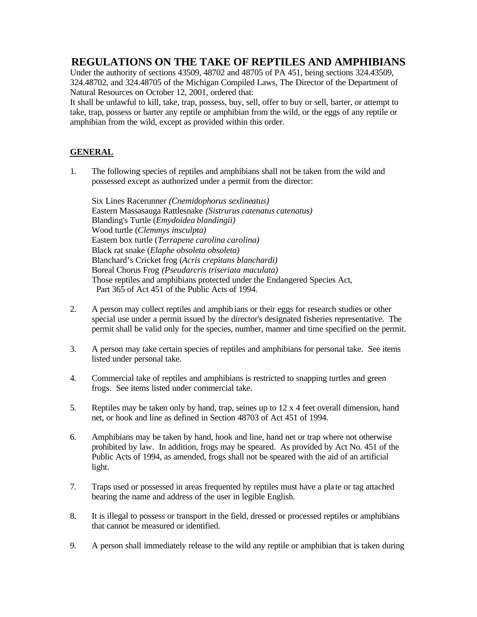## **REGULATIONS ON THE TAKE OF REPTILES AND AMPHIBIANS**

Under the authority of sections 43509, 48702 and 48705 of PA 451, being sections 324.43509, 324.48702, and 324.48705 of the Michigan Compiled Laws, The Director of the Department of Natural Resources on October 12, 2001, ordered that:

It shall be unlawful to kill, take, trap, possess, buy, sell, offer to buy or sell, barter, or attempt to take, trap, possess or barter any reptile or amphibian from the wild, or the eggs of any reptile or amphibian from the wild, except as provided within this order.

## **GENERAL**

1. The following species of reptiles and amphibians shall not be taken from the wild and possessed except as authorized under a permit from the director:

Six Lines Racerunner *(Cnemidophorus sexlineatus)* Eastern Massasauga Rattlesnake *(Sistrurus catenatus catenatus)* Blanding's Turtle (*Emydoidea blandingii)* Wood turtle (*Clemmys insculpta)* Eastern box turtle (*Terrapene carolina carolina)* Black rat snake (*Elaphe obsoleta obsoleta)* Blanchard's Cricket frog (*Acris crepitans blanchardi)* Boreal Chorus Frog *(Pseudarcris triseriata maculata)* Those reptiles and amphibians protected under the Endangered Species Act, Part 365 of Act 451 of the Public Acts of 1994.

- 2. A person may collect reptiles and amphibians or their eggs for research studies or other special use under a permit issued by the director's designated fisheries representative. The permit shall be valid only for the species, number, manner and time specified on the permit.
- 3. A person may take certain species of reptiles and amphibians for personal take. See items listed under personal take.
- 4. Commercial take of reptiles and amphibians is restricted to snapping turtles and green frogs. See items listed under commercial take.
- 5. Reptiles may be taken only by hand, trap, seines up to 12 x 4 feet overall dimension, hand net, or hook and line as defined in Section 48703 of Act 451 of 1994.
- 6. Amphibians may be taken by hand, hook and line, hand net or trap where not otherwise prohibited by law. In addition, frogs may be speared. As provided by Act No. 451 of the Public Acts of 1994, as amended, frogs shall not be speared with the aid of an artificial light.
- 7. Traps used or possessed in areas frequented by reptiles must have a pla te or tag attached bearing the name and address of the user in legible English.
- 8. It is illegal to possess or transport in the field, dressed or processed reptiles or amphibians that cannot be measured or identified.
- 9. A person shall immediately release to the wild any reptile or amphibian that is taken during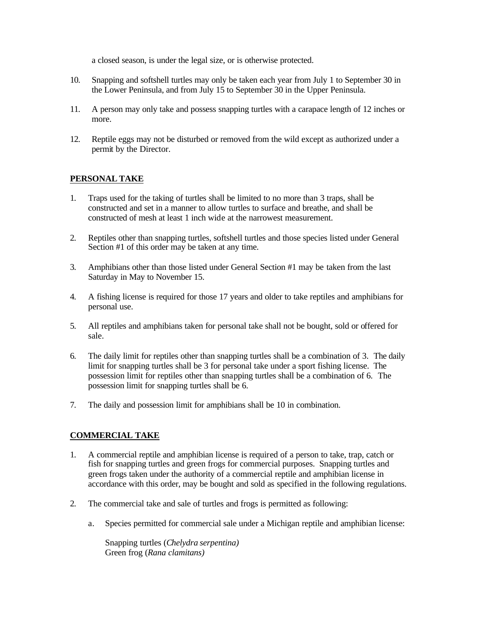a closed season, is under the legal size, or is otherwise protected.

- 10. Snapping and softshell turtles may only be taken each year from July 1 to September 30 in the Lower Peninsula, and from July 15 to September 30 in the Upper Peninsula.
- 11. A person may only take and possess snapping turtles with a carapace length of 12 inches or more.
- 12. Reptile eggs may not be disturbed or removed from the wild except as authorized under a permit by the Director.

## **PERSONAL TAKE**

- 1. Traps used for the taking of turtles shall be limited to no more than 3 traps, shall be constructed and set in a manner to allow turtles to surface and breathe, and shall be constructed of mesh at least 1 inch wide at the narrowest measurement.
- 2. Reptiles other than snapping turtles, softshell turtles and those species listed under General Section #1 of this order may be taken at any time.
- 3. Amphibians other than those listed under General Section #1 may be taken from the last Saturday in May to November 15.
- 4. A fishing license is required for those 17 years and older to take reptiles and amphibians for personal use.
- 5. All reptiles and amphibians taken for personal take shall not be bought, sold or offered for sale.
- 6. The daily limit for reptiles other than snapping turtles shall be a combination of 3. The daily limit for snapping turtles shall be 3 for personal take under a sport fishing license. The possession limit for reptiles other than snapping turtles shall be a combination of 6. The possession limit for snapping turtles shall be 6.
- 7. The daily and possession limit for amphibians shall be 10 in combination.

## **COMMERCIAL TAKE**

- 1. A commercial reptile and amphibian license is required of a person to take, trap, catch or fish for snapping turtles and green frogs for commercial purposes. Snapping turtles and green frogs taken under the authority of a commercial reptile and amphibian license in accordance with this order, may be bought and sold as specified in the following regulations.
- 2. The commercial take and sale of turtles and frogs is permitted as following:
	- a. Species permitted for commercial sale under a Michigan reptile and amphibian license:

Snapping turtles (*Chelydra serpentina)* Green frog (*Rana clamitans)*